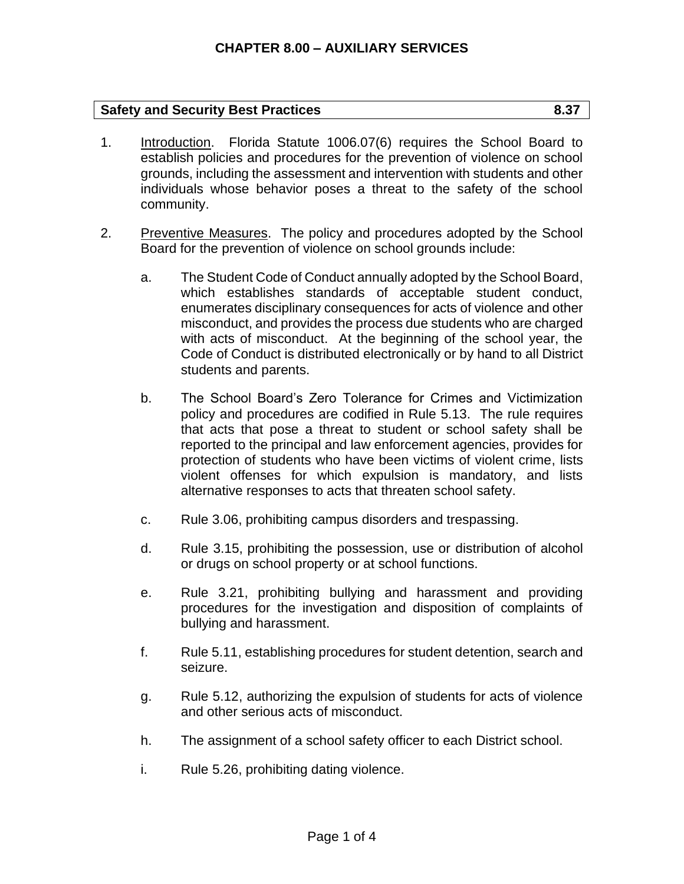## **Safety and Security Best Practices 6.37**

- 1. Introduction. Florida Statute 1006.07(6) requires the School Board to establish policies and procedures for the prevention of violence on school grounds, including the assessment and intervention with students and other individuals whose behavior poses a threat to the safety of the school community.
- 2. Preventive Measures. The policy and procedures adopted by the School Board for the prevention of violence on school grounds include:
	- a. The Student Code of Conduct annually adopted by the School Board, which establishes standards of acceptable student conduct, enumerates disciplinary consequences for acts of violence and other misconduct, and provides the process due students who are charged with acts of misconduct. At the beginning of the school year, the Code of Conduct is distributed electronically or by hand to all District students and parents.
	- b. The School Board's Zero Tolerance for Crimes and Victimization policy and procedures are codified in Rule 5.13. The rule requires that acts that pose a threat to student or school safety shall be reported to the principal and law enforcement agencies, provides for protection of students who have been victims of violent crime, lists violent offenses for which expulsion is mandatory, and lists alternative responses to acts that threaten school safety.
	- c. Rule 3.06, prohibiting campus disorders and trespassing.
	- d. Rule 3.15, prohibiting the possession, use or distribution of alcohol or drugs on school property or at school functions.
	- e. Rule 3.21, prohibiting bullying and harassment and providing procedures for the investigation and disposition of complaints of bullying and harassment.
	- f. Rule 5.11, establishing procedures for student detention, search and seizure.
	- g. Rule 5.12, authorizing the expulsion of students for acts of violence and other serious acts of misconduct.
	- h. The assignment of a school safety officer to each District school.
	- i. Rule 5.26, prohibiting dating violence.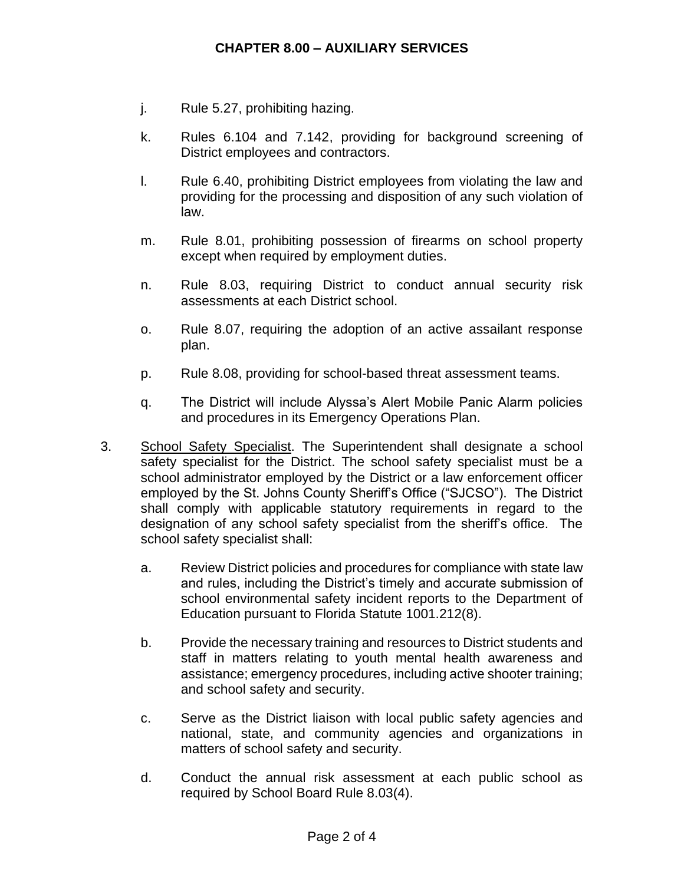- j. Rule 5.27, prohibiting hazing.
- k. Rules 6.104 and 7.142, providing for background screening of District employees and contractors.
- l. Rule 6.40, prohibiting District employees from violating the law and providing for the processing and disposition of any such violation of law.
- m. Rule 8.01, prohibiting possession of firearms on school property except when required by employment duties.
- n. Rule 8.03, requiring District to conduct annual security risk assessments at each District school.
- o. Rule 8.07, requiring the adoption of an active assailant response plan.
- p. Rule 8.08, providing for school-based threat assessment teams.
- q. The District will include Alyssa's Alert Mobile Panic Alarm policies and procedures in its Emergency Operations Plan.
- 3. School Safety Specialist. The Superintendent shall designate a school safety specialist for the District. The school safety specialist must be a school administrator employed by the District or a law enforcement officer employed by the St. Johns County Sheriff's Office ("SJCSO"). The District shall comply with applicable statutory requirements in regard to the designation of any school safety specialist from the sheriff's office. The school safety specialist shall:
	- a. Review District policies and procedures for compliance with state law and rules, including the District's timely and accurate submission of school environmental safety incident reports to the Department of Education pursuant to Florida Statute 1001.212(8).
	- b. Provide the necessary training and resources to District students and staff in matters relating to youth mental health awareness and assistance; emergency procedures, including active shooter training; and school safety and security.
	- c. Serve as the District liaison with local public safety agencies and national, state, and community agencies and organizations in matters of school safety and security.
	- d. Conduct the annual risk assessment at each public school as required by School Board Rule 8.03(4).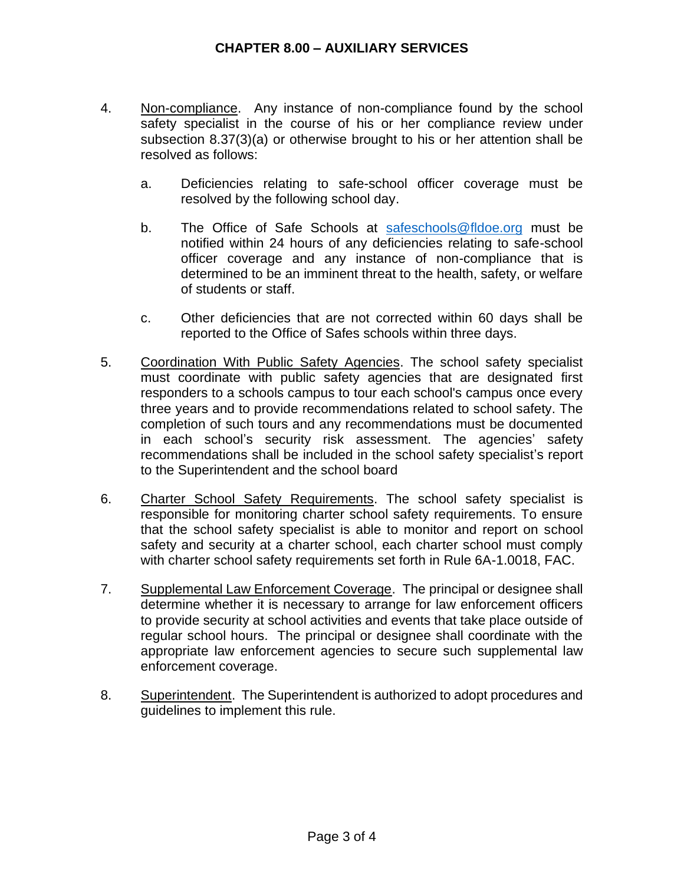- 4. Non-compliance. Any instance of non-compliance found by the school safety specialist in the course of his or her compliance review under subsection 8.37(3)(a) or otherwise brought to his or her attention shall be resolved as follows:
	- a. Deficiencies relating to safe-school officer coverage must be resolved by the following school day.
	- b. The Office of Safe Schools at [safeschools@fldoe.org](mailto:safeschools@fldoe.org) must be notified within 24 hours of any deficiencies relating to safe-school officer coverage and any instance of non-compliance that is determined to be an imminent threat to the health, safety, or welfare of students or staff.
	- c. Other deficiencies that are not corrected within 60 days shall be reported to the Office of Safes schools within three days.
- 5. Coordination With Public Safety Agencies. The school safety specialist must coordinate with public safety agencies that are designated first responders to a schools campus to tour each school's campus once every three years and to provide recommendations related to school safety. The completion of such tours and any recommendations must be documented in each school's security risk assessment. The agencies' safety recommendations shall be included in the school safety specialist's report to the Superintendent and the school board
- 6. Charter School Safety Requirements. The school safety specialist is responsible for monitoring charter school safety requirements. To ensure that the school safety specialist is able to monitor and report on school safety and security at a charter school, each charter school must comply with charter school safety requirements set forth in Rule 6A-1.0018, FAC.
- 7. Supplemental Law Enforcement Coverage. The principal or designee shall determine whether it is necessary to arrange for law enforcement officers to provide security at school activities and events that take place outside of regular school hours. The principal or designee shall coordinate with the appropriate law enforcement agencies to secure such supplemental law enforcement coverage.
- 8. Superintendent. The Superintendent is authorized to adopt procedures and guidelines to implement this rule.